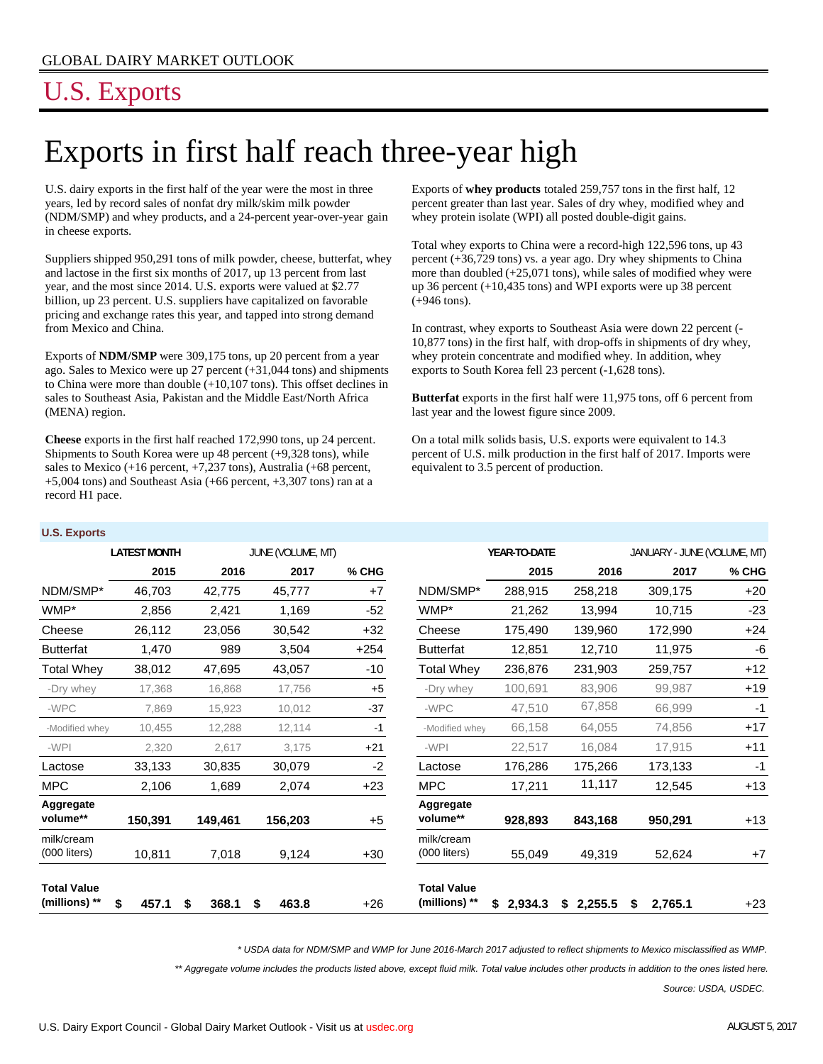# U.S. Exports

**U.S. Exports**

# Exports in first half reach three-year high

U.S. dairy exports in the first half of the year were the most in three years, led by record sales of nonfat dry milk/skim milk powder (NDM/SMP) and whey products, and a 24-percent year-over-year gain in cheese exports.

Suppliers shipped 950,291 tons of milk powder, cheese, butterfat, whey and lactose in the first six months of 2017, up 13 percent from last year, and the most since 2014. U.S. exports were valued at \$2.77 billion, up 23 percent. U.S. suppliers have capitalized on favorable pricing and exchange rates this year, and tapped into strong demand from Mexico and China.

Exports of **NDM/SMP** were 309,175 tons, up 20 percent from a year ago. Sales to Mexico were up 27 percent (+31,044 tons) and shipments to China were more than double (+10,107 tons). This offset declines in sales to Southeast Asia, Pakistan and the Middle East/North Africa (MENA) region.

**Cheese** exports in the first half reached 172,990 tons, up 24 percent. Shipments to South Korea were up 48 percent (+9,328 tons), while sales to Mexico (+16 percent, +7,237 tons), Australia (+68 percent, +5,004 tons) and Southeast Asia (+66 percent, +3,307 tons) ran at a record H1 pace.

Exports of **whey products** totaled 259,757 tons in the first half, 12 percent greater than last year. Sales of dry whey, modified whey and whey protein isolate (WPI) all posted double-digit gains.

Total whey exports to China were a record-high 122,596 tons, up 43 percent (+36,729 tons) vs. a year ago. Dry whey shipments to China more than doubled  $(+25,071$  tons), while sales of modified whey were up 36 percent (+10,435 tons) and WPI exports were up 38 percent (+946 tons).

In contrast, whey exports to Southeast Asia were down 22 percent (- 10,877 tons) in the first half, with drop-offs in shipments of dry whey, whey protein concentrate and modified whey. In addition, whey exports to South Korea fell 23 percent (-1,628 tons).

**Butterfat** exports in the first half were 11,975 tons, off 6 percent from last year and the lowest figure since 2009.

On a total milk solids basis, U.S. exports were equivalent to 14.3 percent of U.S. milk production in the first half of 2017. Imports were equivalent to 3.5 percent of production.

| <b>U.S. EXPUITS</b>                 |                     |            |                   |        |                                     |               |               |                             |       |
|-------------------------------------|---------------------|------------|-------------------|--------|-------------------------------------|---------------|---------------|-----------------------------|-------|
|                                     | <b>LATEST MONTH</b> |            | JUNE (VOLUME, MT) |        |                                     | YEAR-TO-DATE  |               | JANUARY - JUNE (VOLUME, MT) |       |
|                                     | 2015                | 2016       | 2017              | % CHG  |                                     | 2015          | 2016          | 2017                        | % CHG |
| NDM/SMP*                            | 46,703              | 42,775     | 45,777            | $+7$   | NDM/SMP*                            | 288,915       | 258,218       | 309,175                     | $+20$ |
| WMP*                                | 2,856               | 2,421      | 1,169             | $-52$  | WMP*                                | 21,262        | 13,994        | 10,715                      | $-23$ |
| Cheese                              | 26,112              | 23,056     | 30,542            | $+32$  | Cheese                              | 175,490       | 139,960       | 172,990                     | $+24$ |
| <b>Butterfat</b>                    | 1,470               | 989        | 3,504             | $+254$ | <b>Butterfat</b>                    | 12,851        | 12,710        | 11,975                      | -6    |
| Total Whey                          | 38,012              | 47,695     | 43,057            | $-10$  | Total Whey                          | 236,876       | 231,903       | 259,757                     | $+12$ |
| -Dry whey                           | 17,368              | 16,868     | 17,756            | $+5$   | -Dry whey                           | 100,691       | 83,906        | 99,987                      | $+19$ |
| -WPC                                | 7,869               | 15,923     | 10,012            | $-37$  | -WPC                                | 47,510        | 67,858        | 66,999                      | $-1$  |
| -Modified whey                      | 10,455              | 12,288     | 12,114            | $-1$   | -Modified whey                      | 66,158        | 64,055        | 74,856                      | $+17$ |
| -WPI                                | 2,320               | 2,617      | 3,175             | $+21$  | -WPI                                | 22,517        | 16,084        | 17,915                      | $+11$ |
| Lactose                             | 33,133              | 30,835     | 30,079            | $-2$   | Lactose                             | 176,286       | 175,266       | 173,133                     | -1    |
| <b>MPC</b>                          | 2,106               | 1,689      | 2,074             | $+23$  | <b>MPC</b>                          | 17,211        | 11,117        | 12,545                      | $+13$ |
| Aggregate<br>volume**               | 150,391             | 149,461    | 156,203           | $+5$   | Aggregate<br>volume**               | 928,893       | 843,168       | 950,291                     | $+13$ |
| milk/cream<br>$(000$ liters)        | 10,811              | 7,018      | 9,124             | $+30$  | milk/cream<br>$(000$ liters)        | 55,049        | 49,319        | 52,624                      | $+7$  |
| <b>Total Value</b><br>(millions) ** | 457.1<br>\$         | 368.1<br>S | 463.8<br>\$       | +26    | <b>Total Value</b><br>(millions) ** | 2,934.3<br>\$ | 2,255.5<br>\$ | 2,765.1<br>S                | $+23$ |

*\* USDA data for NDM/SMP and WMP for June 2016-March 2017 adjusted to reflect shipments to Mexico misclassified as WMP.*

*\*\* Aggregate volume includes the products listed above, except fluid milk. Total value includes other products in addition to the ones listed here.*

*Source: USDA, USDEC.*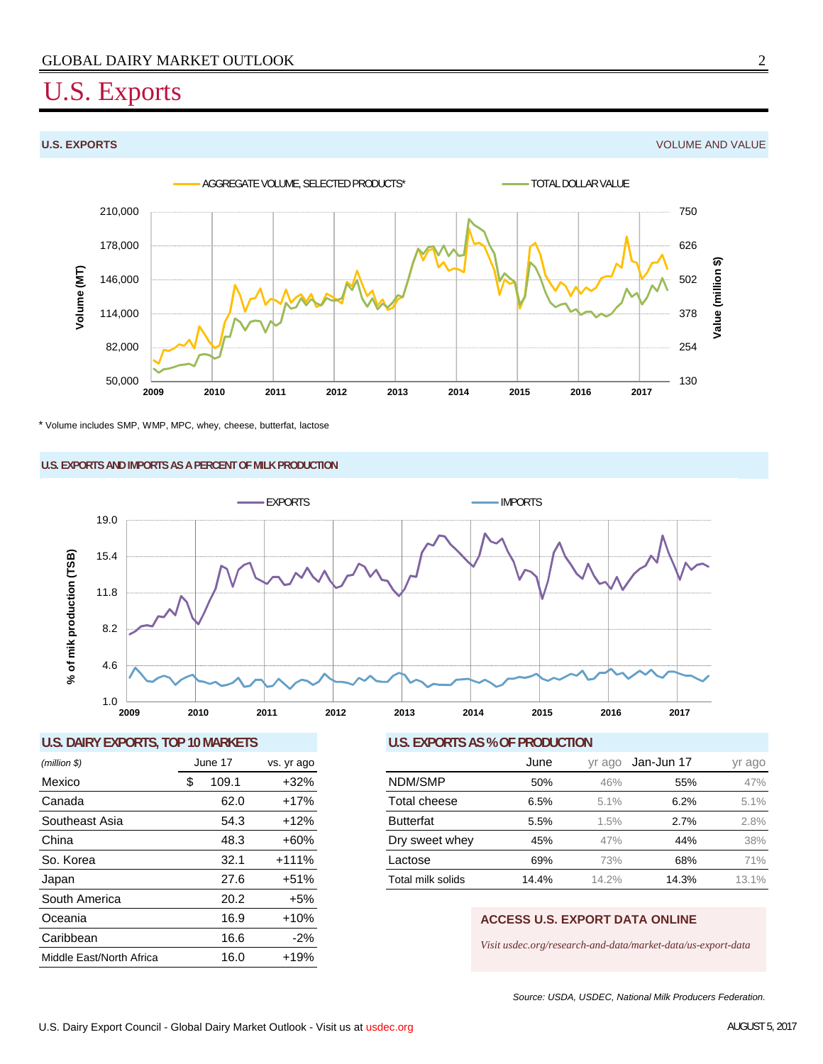## U.S. Exports

**U.S. EXPORTS** VOLUME AND VALUE



\* Volume includes SMP, WMP, MPC, whey, cheese, butterfat, lactose

### **U.S. EXPORTS AND IMPORTS AS A PERCENT OF MILK PRODUCTION**



### **U.S. DAIRY EXPORTS, TOP 10 MARKETS U.S. EXPORTS AS % OF PRODUCTION**

| $(million \$             |   | June 17 | vs. yr ago |
|--------------------------|---|---------|------------|
| Mexico                   | S | 109.1   | $+32%$     |
| Canada                   |   | 62.0    | $+17%$     |
| Southeast Asia           |   | 54.3    | $+12%$     |
| China                    |   | 48.3    | $+60%$     |
| So. Korea                |   | 32.1    | $+111%$    |
| Japan                    |   | 27.6    | $+51%$     |
| South America            |   | 20.2    | $+5%$      |
| Oceania                  |   | 16.9    | $+10%$     |
| Caribbean                |   | 16.6    | $-2%$      |
| Middle East/North Africa |   | 16.0    | $+19%$     |

| (million \$)   | June 17 |       | vs. yr ago |                   | June  | yr ago | Jan-Jun 17 | yr ago |
|----------------|---------|-------|------------|-------------------|-------|--------|------------|--------|
| Mexico         |         | 109.1 | $+32%$     | NDM/SMP           | 50%   | 46%    | 55%        | 47%    |
| Canada         |         | 62.0  | $+17%$     | Total cheese      | 6.5%  | 5.1%   | 6.2%       | 5.1%   |
| Southeast Asia |         | 54.3  | $+12%$     | <b>Butterfat</b>  | 5.5%  | .5%    | 2.7%       | 2.8%   |
| China          |         | 48.3  | $+60%$     | Dry sweet whey    | 45%   | 47%    | 44%        | 38%    |
| So. Korea      |         | 32.1  | $+111%$    | Lactose           | 69%   | 73%    | 68%        | 71%    |
| Japan          |         | 27.6  | $+51%$     | Total milk solids | 14.4% | 14.2%  | 14.3%      | 13.1%  |

### **ACCESS U.S. EXPORT DATA ONLINE**

*Visit usdec.org/research-and-data/market-data/us-export-data*

*Source: USDA, USDEC, National Milk Producers Federation.*